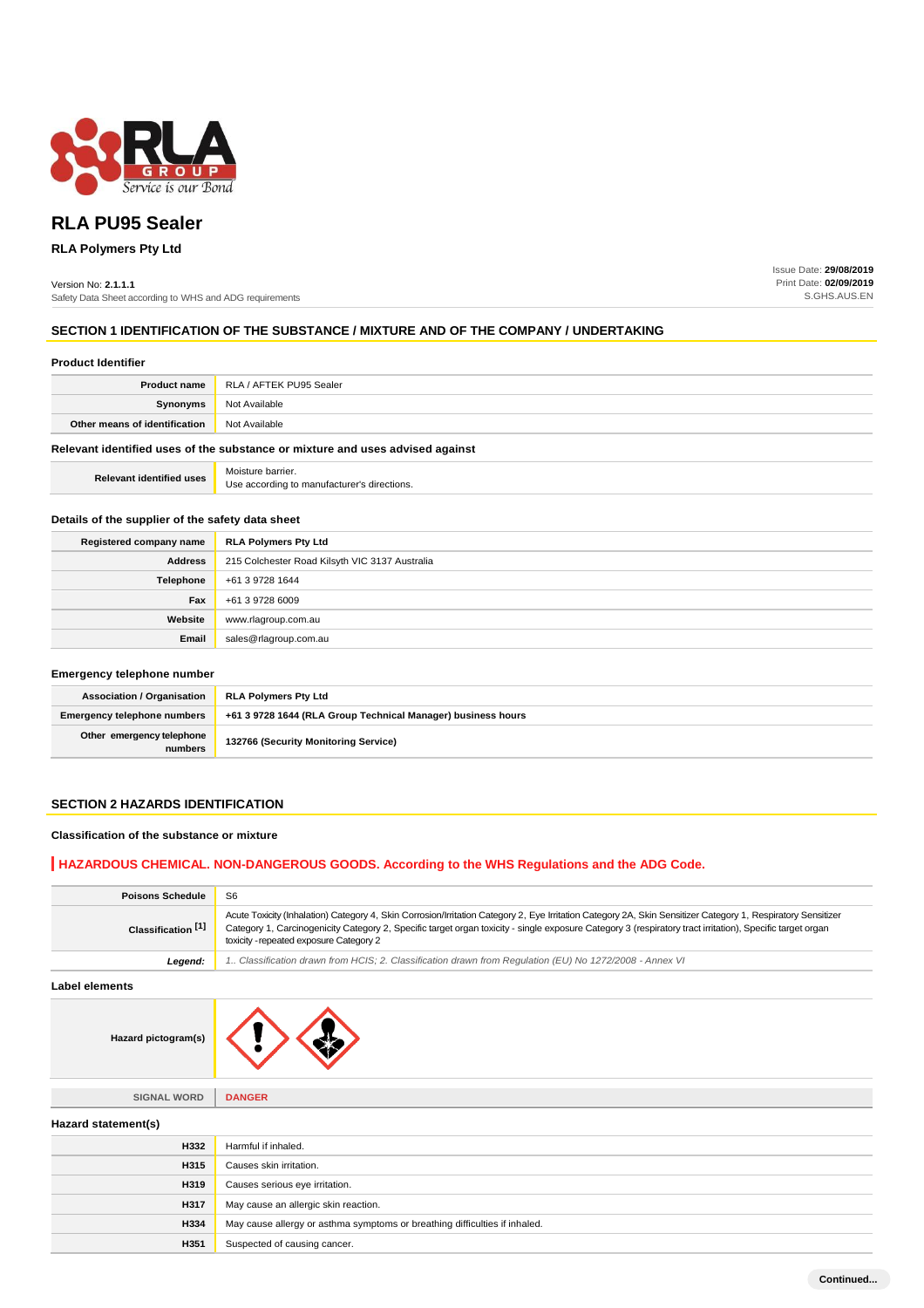

# **RLA PU95 Sealer**

## **RLA Polymers Pty Ltd**

Version No: **2.1.1.1** Safety Data Sheet according to WHS and ADG requirements Issue Date: **29/08/2019** Print Date: **02/09/2019** S.GHS.AUS.EN

## **SECTION 1 IDENTIFICATION OF THE SUBSTANCE / MIXTURE AND OF THE COMPANY / UNDERTAKING**

| <b>Product Identifier</b>       |                                                                               |
|---------------------------------|-------------------------------------------------------------------------------|
| <b>Product name</b>             | RLA / AFTEK PU95 Sealer                                                       |
| Synonyms                        | Not Available                                                                 |
| Other means of identification   | Not Available                                                                 |
|                                 | Relevant identified uses of the substance or mixture and uses advised against |
| <b>Relevant identified uses</b> | Moisture barrier.<br>Use according to manufacturer's directions.              |

## **Details of the supplier of the safety data sheet**

| Registered company name | <b>RLA Polymers Pty Ltd</b>                    |
|-------------------------|------------------------------------------------|
| <b>Address</b>          | 215 Colchester Road Kilsyth VIC 3137 Australia |
| Telephone               | +61 3 9728 1644                                |
| Fax                     | +61 3 9728 6009                                |
| Website                 | www.rlagroup.com.au                            |
| Email                   | sales@rlagroup.com.au                          |

#### **Emergency telephone number**

| <b>Association / Organisation</b>    | <b>RLA Polymers Pty Ltd</b>                                  |  |
|--------------------------------------|--------------------------------------------------------------|--|
| <b>Emergency telephone numbers</b>   | +61 3 9728 1644 (RLA Group Technical Manager) business hours |  |
| Other emergency telephone<br>numbers | 132766 (Security Monitoring Service)                         |  |

## **SECTION 2 HAZARDS IDENTIFICATION**

## **Classification of the substance or mixture**

## **HAZARDOUS CHEMICAL. NON-DANGEROUS GOODS. According to the WHS Regulations and the ADG Code.**

| <b>Poisons Schedule</b>       | S <sub>6</sub>                                                                                                                                                                                                                                                                                                                                                       |  |
|-------------------------------|----------------------------------------------------------------------------------------------------------------------------------------------------------------------------------------------------------------------------------------------------------------------------------------------------------------------------------------------------------------------|--|
| Classification <sup>[1]</sup> | Acute Toxicity (Inhalation) Category 4, Skin Corrosion/Irritation Category 2, Eye Irritation Category 2A, Skin Sensitizer Category 1, Respiratory Sensitizer<br>Category 1, Carcinogenicity Category 2, Specific target organ toxicity - single exposure Category 3 (respiratory tract irritation), Specific target organ<br>toxicity - repeated exposure Category 2 |  |
| Legend:                       | 1. Classification drawn from HCIS; 2. Classification drawn from Requlation (EU) No 1272/2008 - Annex VI                                                                                                                                                                                                                                                              |  |
| Label elements                |                                                                                                                                                                                                                                                                                                                                                                      |  |
| Hazard pictogram(s)           |                                                                                                                                                                                                                                                                                                                                                                      |  |
| <b>SIGNAL WORD</b>            | <b>DANGER</b>                                                                                                                                                                                                                                                                                                                                                        |  |
| Hazard statement(s)           |                                                                                                                                                                                                                                                                                                                                                                      |  |
| <b>H332</b>                   | Harmful if inhaled.                                                                                                                                                                                                                                                                                                                                                  |  |
| <b>H315</b>                   | Causes skin irritation.                                                                                                                                                                                                                                                                                                                                              |  |
| H319                          | Causes serious eye irritation.                                                                                                                                                                                                                                                                                                                                       |  |
| <b>H317</b>                   | May cause an allergic skin reaction.                                                                                                                                                                                                                                                                                                                                 |  |
| <b>H334</b>                   | May cause allergy or asthma symptoms or breathing difficulties if inhaled.                                                                                                                                                                                                                                                                                           |  |
| H351                          | Suspected of causing cancer.                                                                                                                                                                                                                                                                                                                                         |  |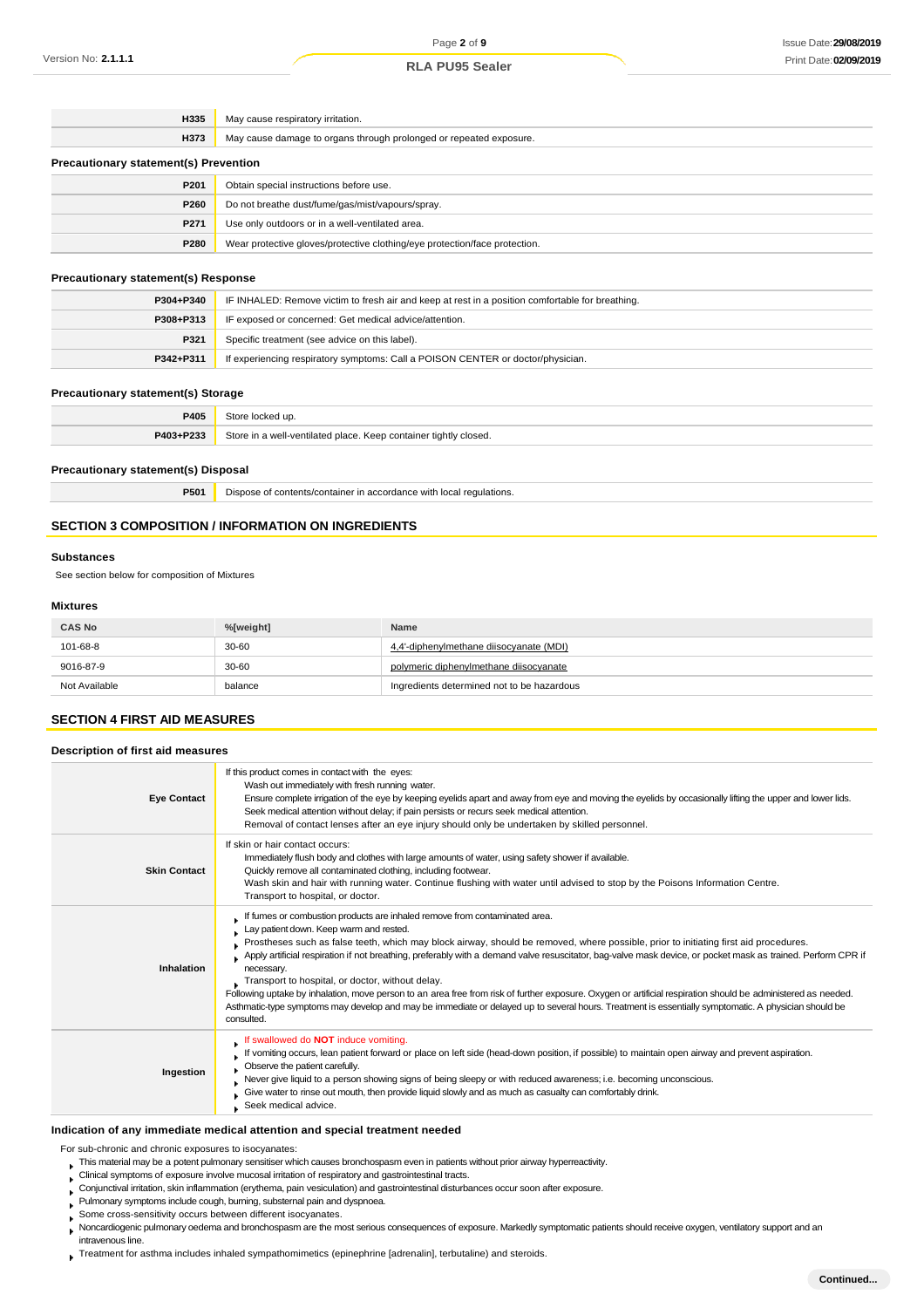## **RLA PU95 Sealer**

| H335                                         | May cause respiratory irritation.                                          |  |
|----------------------------------------------|----------------------------------------------------------------------------|--|
| <b>H373</b>                                  | May cause damage to organs through prolonged or repeated exposure.         |  |
| <b>Precautionary statement(s) Prevention</b> |                                                                            |  |
| P <sub>201</sub>                             | Obtain special instructions before use.                                    |  |
| P260                                         | Do not breathe dust/fume/gas/mist/vapours/spray.                           |  |
| P <sub>271</sub>                             | Use only outdoors or in a well-ventilated area.                            |  |
| P280                                         | Wear protective gloves/protective clothing/eye protection/face protection. |  |

## **Precautionary statement(s) Response**

| P304+P340 | IF INHALED: Remove victim to fresh air and keep at rest in a position comfortable for breathing. |  |
|-----------|--------------------------------------------------------------------------------------------------|--|
| P308+P313 | IF exposed or concerned: Get medical advice/attention.                                           |  |
| P321      | Specific treatment (see advice on this label).                                                   |  |
| P342+P311 | If experiencing respiratory symptoms: Call a POISON CENTER or doctor/physician.                  |  |

#### **Precautionary statement(s) Storage**

| <b>P405</b> |                                                                  |
|-------------|------------------------------------------------------------------|
| P403+P233   | Store in a well-ventilated place. Keep container tightly closed. |

#### **Precautionary statement(s) Disposal**

**P501** Dispose of contents/container in accordance with local regulations.

## **SECTION 3 COMPOSITION / INFORMATION ON INGREDIENTS**

#### **Substances**

See section below for composition of Mixtures

## **Mixtures**

| <b>CAS No</b> | %[weight] | Name                                       |
|---------------|-----------|--------------------------------------------|
| 101-68-8      | $30 - 60$ | 4,4'-diphenylmethane diisocyanate (MDI)    |
| 9016-87-9     | 30-60     | polymeric diphenylmethane diisocyanate     |
| Not Available | balance   | Ingredients determined not to be hazardous |

## **SECTION 4 FIRST AID MEASURES**

#### **Description of first aid measures**

| <b>Eye Contact</b>  | If this product comes in contact with the eyes:<br>Wash out immediately with fresh running water.<br>Ensure complete irrigation of the eye by keeping eyelids apart and away from eye and moving the eyelids by occasionally lifting the upper and lower lids.<br>Seek medical attention without delay; if pain persists or recurs seek medical attention.<br>Removal of contact lenses after an eye injury should only be undertaken by skilled personnel.                                                                                                                                                                                                                                                                                                                                                                            |
|---------------------|----------------------------------------------------------------------------------------------------------------------------------------------------------------------------------------------------------------------------------------------------------------------------------------------------------------------------------------------------------------------------------------------------------------------------------------------------------------------------------------------------------------------------------------------------------------------------------------------------------------------------------------------------------------------------------------------------------------------------------------------------------------------------------------------------------------------------------------|
| <b>Skin Contact</b> | If skin or hair contact occurs:<br>Immediately flush body and clothes with large amounts of water, using safety shower if available.<br>Quickly remove all contaminated clothing, including footwear.<br>Wash skin and hair with running water. Continue flushing with water until advised to stop by the Poisons Information Centre.<br>Transport to hospital, or doctor.                                                                                                                                                                                                                                                                                                                                                                                                                                                             |
| <b>Inhalation</b>   | If fumes or combustion products are inhaled remove from contaminated area.<br>Lay patient down. Keep warm and rested.<br>Prostheses such as false teeth, which may block airway, should be removed, where possible, prior to initiating first aid procedures.<br>Apply artificial respiration if not breathing, preferably with a demand valve resuscitator, bag-valve mask device, or pocket mask as trained. Perform CPR if<br>necessary.<br>Transport to hospital, or doctor, without delay.<br>Following uptake by inhalation, move person to an area free from risk of further exposure. Oxygen or artificial respiration should be administered as needed.<br>Asthmatic-type symptoms may develop and may be immediate or delayed up to several hours. Treatment is essentially symptomatic. A physician should be<br>consulted. |
| Ingestion           | If swallowed do NOT induce vomiting.<br>If vomiting occurs, lean patient forward or place on left side (head-down position, if possible) to maintain open airway and prevent aspiration.<br>Observe the patient carefully.<br>Never give liquid to a person showing signs of being sleepy or with reduced awareness; i.e. becoming unconscious.<br>Give water to rinse out mouth, then provide liquid slowly and as much as casualty can comfortably drink.<br>Seek medical advice.                                                                                                                                                                                                                                                                                                                                                    |

## **Indication of any immediate medical attention and special treatment needed**

For sub-chronic and chronic exposures to isocyanates:

- This material may be a potent pulmonary sensitiser which causes bronchospasm even in patients without prior airway hyperreactivity.
- Clinical symptoms of exposure involve mucosal irritation of respiratory and gastrointestinal tracts.
- Conjunctival irritation, skin inflammation (erythema, pain vesiculation) and gastrointestinal disturbances occur soon after exposure.
- Pulmonary symptoms include cough, burning, substernal pain and dyspnoea.
- Some cross-sensitivity occurs between different isocyanates.  $\mathbf{r}$
- Noncardiogenic pulmonary oedema and bronchospasm are the most serious consequences of exposure. Markedly symptomatic patients should receive oxygen, ventilatory support and an intravenous line.
- Treatment for asthma includes inhaled sympathomimetics (epinephrine [adrenalin], terbutaline) and steroids.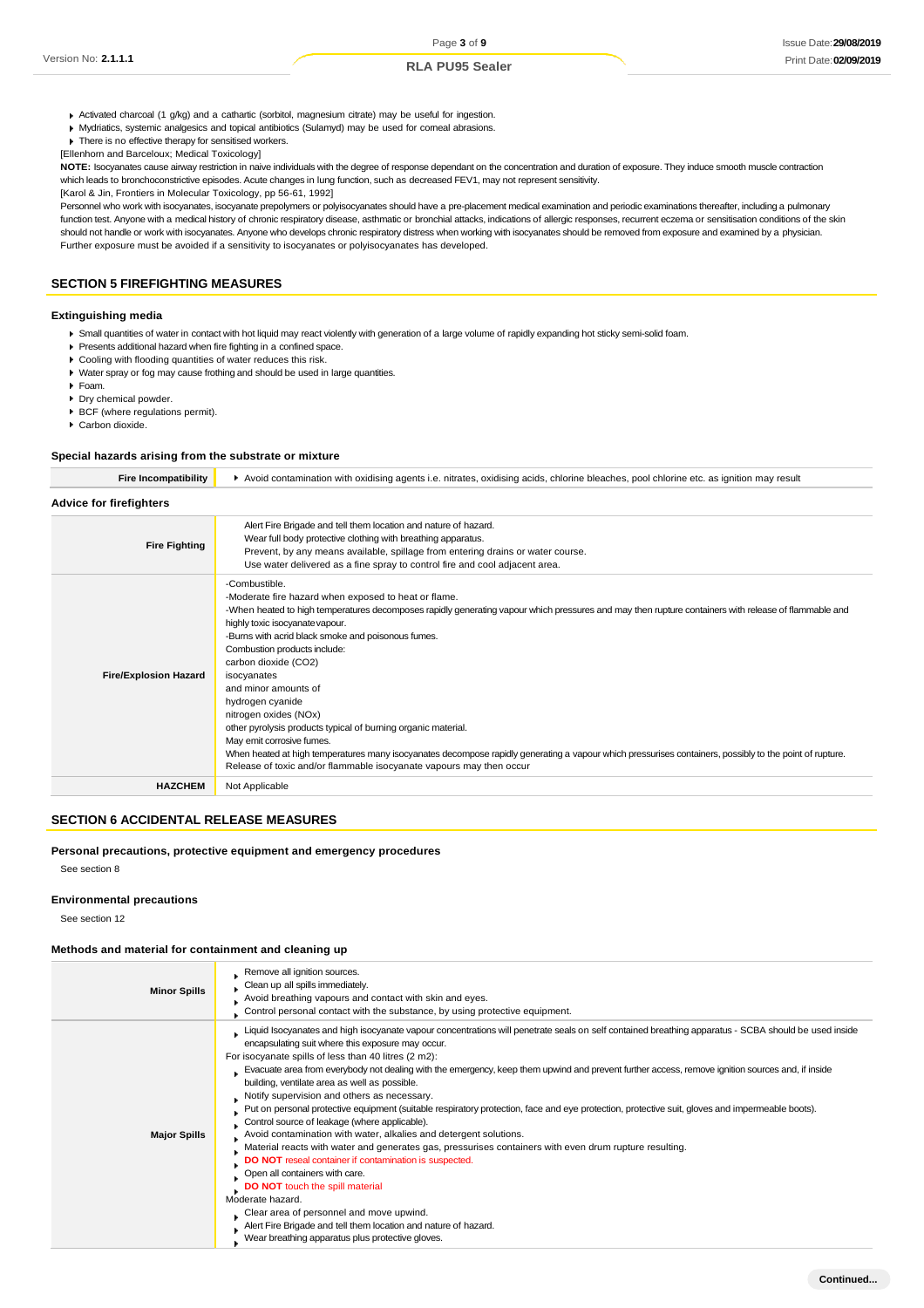- Activated charcoal (1 g/kg) and a cathartic (sorbitol, magnesium citrate) may be useful for ingestion.
- **Mydriatics, systemic analgesics and topical antibiotics (Sulamyd) may be used for corneal abrasions.**
- **F** There is no effective therapy for sensitised workers. [Ellenhorn and Barceloux; Medical Toxicology]

NOTE: Isocyanates cause airway restriction in naive individuals with the degree of response dependant on the concentration and duration of exposure. They induce smooth muscle contraction which leads to bronchoconstrictive episodes. Acute changes in lung function, such as decreased FEV1, may not represent sensitivity.

[Karol & Jin, Frontiers in Molecular Toxicology, pp 56-61, 1992]

Personnel who work with isocyanates, isocyanate prepolymers or polyisocyanates should have a pre-placement medical examination and periodic examinations thereafter, including a pulmonary function test. Anyone with a medical history of chronic respiratory disease, asthmatic or bronchial attacks, indications of allergic responses, recurrent eczema or sensitisation conditions of the skin should not handle or work with isocyanates. Anyone who develops chronic respiratory distress when working with isocyanates should be removed from exposure and examined by a physician. Further exposure must be avoided if a sensitivity to isocyanates or polyisocyanates has developed.

## **SECTION 5 FIREFIGHTING MEASURES**

## **Extinguishing media**

- Small quantities of water in contact with hot liquid may react violently with generation of a large volume of rapidly expanding hot sticky semi-solid foam.
- Presents additional hazard when fire fighting in a confined space.
- Cooling with flooding quantities of water reduces this risk.
- Water spray or fog may cause frothing and should be used in large quantities.
- Foam.
- Dry chemical powder.
- BCF (where regulations permit).
- Carbon dioxide.

#### **Special hazards arising from the substrate or mixture**

| <b>Fire Incompatibility</b>    | Avoid contamination with oxidising agents i.e. nitrates, oxidising acids, chlorine bleaches, pool chlorine etc. as ignition may result                                                                                                                                                                                                                                                                                                                                                                                                                                                                                                                                                                                                                                                             |  |  |
|--------------------------------|----------------------------------------------------------------------------------------------------------------------------------------------------------------------------------------------------------------------------------------------------------------------------------------------------------------------------------------------------------------------------------------------------------------------------------------------------------------------------------------------------------------------------------------------------------------------------------------------------------------------------------------------------------------------------------------------------------------------------------------------------------------------------------------------------|--|--|
| <b>Advice for firefighters</b> |                                                                                                                                                                                                                                                                                                                                                                                                                                                                                                                                                                                                                                                                                                                                                                                                    |  |  |
| <b>Fire Fighting</b>           | Alert Fire Brigade and tell them location and nature of hazard.<br>Wear full body protective clothing with breathing apparatus.<br>Prevent, by any means available, spillage from entering drains or water course.<br>Use water delivered as a fine spray to control fire and cool adjacent area.                                                                                                                                                                                                                                                                                                                                                                                                                                                                                                  |  |  |
| <b>Fire/Explosion Hazard</b>   | -Combustible.<br>-Moderate fire hazard when exposed to heat or flame.<br>-When heated to high temperatures decomposes rapidly generating vapour which pressures and may then rupture containers with release of flammable and<br>highly toxic isocyanate vapour.<br>-Burns with acrid black smoke and poisonous fumes.<br>Combustion products include:<br>carbon dioxide (CO2)<br>isocyanates<br>and minor amounts of<br>hydrogen cyanide<br>nitrogen oxides (NOx)<br>other pyrolysis products typical of burning organic material.<br>May emit corrosive fumes.<br>When heated at high temperatures many isocyanates decompose rapidly generating a vapour which pressurises containers, possibly to the point of rupture.<br>Release of toxic and/or flammable isocyanate vapours may then occur |  |  |
| <b>HAZCHEM</b>                 | Not Applicable                                                                                                                                                                                                                                                                                                                                                                                                                                                                                                                                                                                                                                                                                                                                                                                     |  |  |

#### **SECTION 6 ACCIDENTAL RELEASE MEASURES**

#### **Personal precautions, protective equipment and emergency procedures**

See section 8

#### **Environmental precautions**

See section 12

#### **Methods and material for containment and cleaning up**

| <b>Minor Spills</b> | Remove all ignition sources.<br>Clean up all spills immediately.<br>Avoid breathing vapours and contact with skin and eyes.<br>Control personal contact with the substance, by using protective equipment.                                                                                                                                                                                                                                                                                                                                                                                                                                                                                                                                                                                                                                                                                                                                                                                                                                                                                                                                                                                                                       |
|---------------------|----------------------------------------------------------------------------------------------------------------------------------------------------------------------------------------------------------------------------------------------------------------------------------------------------------------------------------------------------------------------------------------------------------------------------------------------------------------------------------------------------------------------------------------------------------------------------------------------------------------------------------------------------------------------------------------------------------------------------------------------------------------------------------------------------------------------------------------------------------------------------------------------------------------------------------------------------------------------------------------------------------------------------------------------------------------------------------------------------------------------------------------------------------------------------------------------------------------------------------|
| <b>Major Spills</b> | Liquid Isocyanates and high isocyanate vapour concentrations will penetrate seals on self contained breathing apparatus - SCBA should be used inside<br>encapsulating suit where this exposure may occur.<br>For isocyanate spills of less than 40 litres (2 m2):<br>Evacuate area from everybody not dealing with the emergency, keep them upwind and prevent further access, remove ignition sources and, if inside<br>building, ventilate area as well as possible.<br>Notify supervision and others as necessary.<br>. Put on personal protective equipment (suitable respiratory protection, face and eye protection, protective suit, gloves and impermeable boots).<br>Control source of leakage (where applicable).<br>Avoid contamination with water, alkalies and detergent solutions.<br>Material reacts with water and generates gas, pressurises containers with even drum rupture resulting.<br>DO NOT reseal container if contamination is suspected.<br>Open all containers with care.<br>DO NOT touch the spill material<br>Moderate hazard.<br>Clear area of personnel and move upwind.<br>Alert Fire Brigade and tell them location and nature of hazard.<br>Wear breathing apparatus plus protective gloves. |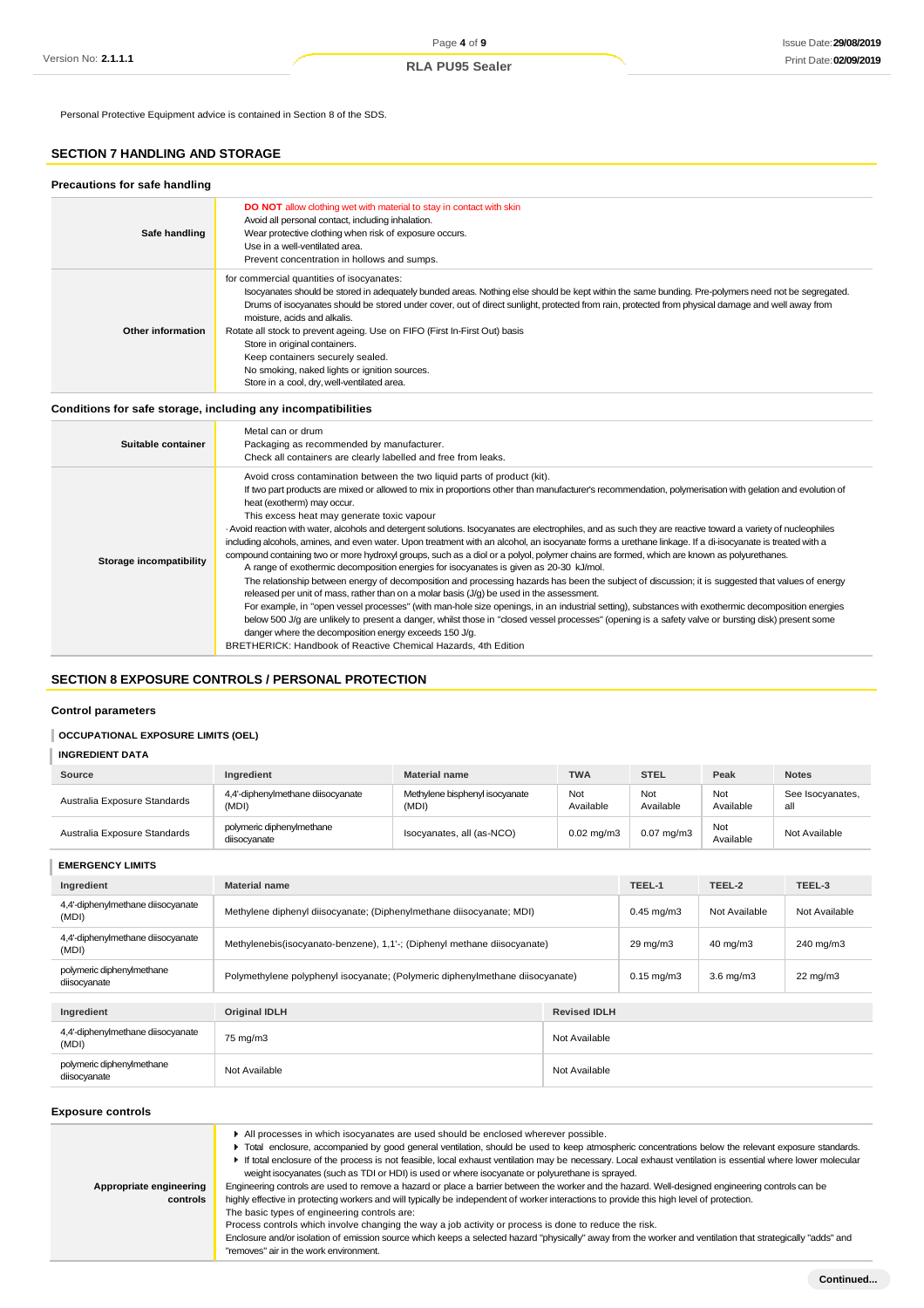Personal Protective Equipment advice is contained in Section 8 of the SDS.

## **SECTION 7 HANDLING AND STORAGE**

| Precautions for safe handling |                                                                                                                                                                                                                                                                                                                                                                                                                                                                                                                                                                                                                                         |
|-------------------------------|-----------------------------------------------------------------------------------------------------------------------------------------------------------------------------------------------------------------------------------------------------------------------------------------------------------------------------------------------------------------------------------------------------------------------------------------------------------------------------------------------------------------------------------------------------------------------------------------------------------------------------------------|
| Safe handling                 | <b>DO NOT</b> allow clothing wet with material to stay in contact with skin<br>Avoid all personal contact, including inhalation.<br>Wear protective clothing when risk of exposure occurs.<br>Use in a well-ventilated area.<br>Prevent concentration in hollows and sumps.                                                                                                                                                                                                                                                                                                                                                             |
| Other information             | for commercial quantities of isocyanates:<br>Isocyanates should be stored in adequately bunded areas. Nothing else should be kept within the same bunding. Pre-polymers need not be segregated.<br>Drums of isocyanates should be stored under cover, out of direct sunlight, protected from rain, protected from physical damage and well away from<br>moisture, acids and alkalis.<br>Rotate all stock to prevent ageing. Use on FIFO (First In-First Out) basis<br>Store in original containers.<br>Keep containers securely sealed.<br>No smoking, naked lights or ignition sources.<br>Store in a cool, dry, well-ventilated area. |

## **Conditions for safe storage, including any incompatibilities**

| Suitable container      | Metal can or drum<br>Packaging as recommended by manufacturer.<br>Check all containers are clearly labelled and free from leaks.                                                                                                                                                                                                                                                                                                                                                                                                                                                                                                                                                                                                                                                                                                                                                                                                                                                                                                                                                                                                                                                                                                                                                                                                                                                                                                                                                                                                                                             |
|-------------------------|------------------------------------------------------------------------------------------------------------------------------------------------------------------------------------------------------------------------------------------------------------------------------------------------------------------------------------------------------------------------------------------------------------------------------------------------------------------------------------------------------------------------------------------------------------------------------------------------------------------------------------------------------------------------------------------------------------------------------------------------------------------------------------------------------------------------------------------------------------------------------------------------------------------------------------------------------------------------------------------------------------------------------------------------------------------------------------------------------------------------------------------------------------------------------------------------------------------------------------------------------------------------------------------------------------------------------------------------------------------------------------------------------------------------------------------------------------------------------------------------------------------------------------------------------------------------------|
| Storage incompatibility | Avoid cross contamination between the two liquid parts of product (kit).<br>If two part products are mixed or allowed to mix in proportions other than manufacturer's recommendation, polymerisation with gelation and evolution of<br>heat (exotherm) may occur.<br>This excess heat may generate toxic vapour<br>- Avoid reaction with water, alcohols and detergent solutions. Isocyanates are electrophiles, and as such they are reactive toward a variety of nucleophiles<br>including alcohols, amines, and even water. Upon treatment with an alcohol, an isocyanate forms a urethane linkage. If a di-isocyanate is treated with a<br>compound containing two or more hydroxyl groups, such as a diol or a polyol, polymer chains are formed, which are known as polyurethanes.<br>A range of exothermic decomposition energies for isocyanates is given as 20-30 kJ/mol.<br>The relationship between energy of decomposition and processing hazards has been the subject of discussion; it is suggested that values of energy<br>released per unit of mass, rather than on a molar basis (J/g) be used in the assessment.<br>For example, in "open vessel processes" (with man-hole size openings, in an industrial setting), substances with exothermic decomposition energies<br>below 500 J/g are unlikely to present a danger, whilst those in "closed vessel processes" (opening is a safety valve or bursting disk) present some<br>danger where the decomposition energy exceeds 150 J/g.<br>BRETHERICK: Handbook of Reactive Chemical Hazards, 4th Edition |

## **SECTION 8 EXPOSURE CONTROLS / PERSONAL PROTECTION**

## **Control parameters**

#### **OCCUPATIONAL EXPOSURE LIMITS (OEL)**

| <b>INGREDIENT DATA</b>       |                                            |                                         |                       |                       |                  |                         |
|------------------------------|--------------------------------------------|-----------------------------------------|-----------------------|-----------------------|------------------|-------------------------|
| Source                       | Ingredient                                 | <b>Material name</b>                    | <b>TWA</b>            | <b>STEL</b>           | Peak             | <b>Notes</b>            |
| Australia Exposure Standards | 4,4'-diphenylmethane diisocyanate<br>(MDI) | Methylene bisphenyl isocyanate<br>(MDI) | Not<br>Available      | Not<br>Available      | Not<br>Available | See Isocyanates,<br>all |
| Australia Exposure Standards | polymeric diphenylmethane<br>diisocyanate  | Isocyanates, all (as-NCO)               | $0.02 \text{ mg/m}$ 3 | $0.07 \text{ mg/m}$ 3 | Not<br>Available | Not Available           |

**EMERGENCY LIMITS Ingredient Material name TEEL-1 TEEL-2 TEEL-3** 4,4'-diphenylmethane diisocyanate 4,4-diphenylmethane diisocyanate Methylene diphenyl diisocyanate; (Diphenylmethane diisocyanate; MDI) 0.45 mg/m3 Not Available Not Available Not Available 4,4'-diphenylmethane diisocyanate Methylenebis(isocyanato-benzene), 1,1'-; (Diphenyl methane diisocyanate) 29 mg/m3 40 mg/m3 240 mg/m3 240 mg/m3 polymeric diphenylmethane<br>diisocyanate Polymethylene polyphenyl isocyanate; (Polymeric diphenylmethane diisocyanate) 0.15 mg/m3 3.6 mg/m3 22 mg/m3 **Ingredient Original IDLH Revised IDLH** 4,4'-diphenylmethane diisocyanate (MDI) 75 mg/m3 Not Available polymeric diphenylmethane<br>diisocyanate diisocyanate Not Available Not Available Not Available Not Available Not Available

## **Exposure controls**

| Appropriate engineering<br>controls | All processes in which isocyanates are used should be enclosed wherever possible.<br>Total enclosure, accompanied by good general ventilation, should be used to keep atmospheric concentrations below the relevant exposure standards.<br>► If total enclosure of the process is not feasible, local exhaust ventilation may be necessary. Local exhaust ventilation is essential where lower molecular<br>weight isocyanates (such as TDI or HDI) is used or where isocyanate or polyurethane is sprayed.<br>Engineering controls are used to remove a hazard or place a barrier between the worker and the hazard. Well-designed engineering controls can be<br>highly effective in protecting workers and will typically be independent of worker interactions to provide this high level of protection.<br>The basic types of engineering controls are:<br>Process controls which involve changing the way a job activity or process is done to reduce the risk.<br>Enclosure and/or isolation of emission source which keeps a selected hazard "physically" away from the worker and ventilation that strategically "adds" and<br>"removes" air in the work environment. |
|-------------------------------------|--------------------------------------------------------------------------------------------------------------------------------------------------------------------------------------------------------------------------------------------------------------------------------------------------------------------------------------------------------------------------------------------------------------------------------------------------------------------------------------------------------------------------------------------------------------------------------------------------------------------------------------------------------------------------------------------------------------------------------------------------------------------------------------------------------------------------------------------------------------------------------------------------------------------------------------------------------------------------------------------------------------------------------------------------------------------------------------------------------------------------------------------------------------------------------|
|                                     |                                                                                                                                                                                                                                                                                                                                                                                                                                                                                                                                                                                                                                                                                                                                                                                                                                                                                                                                                                                                                                                                                                                                                                                |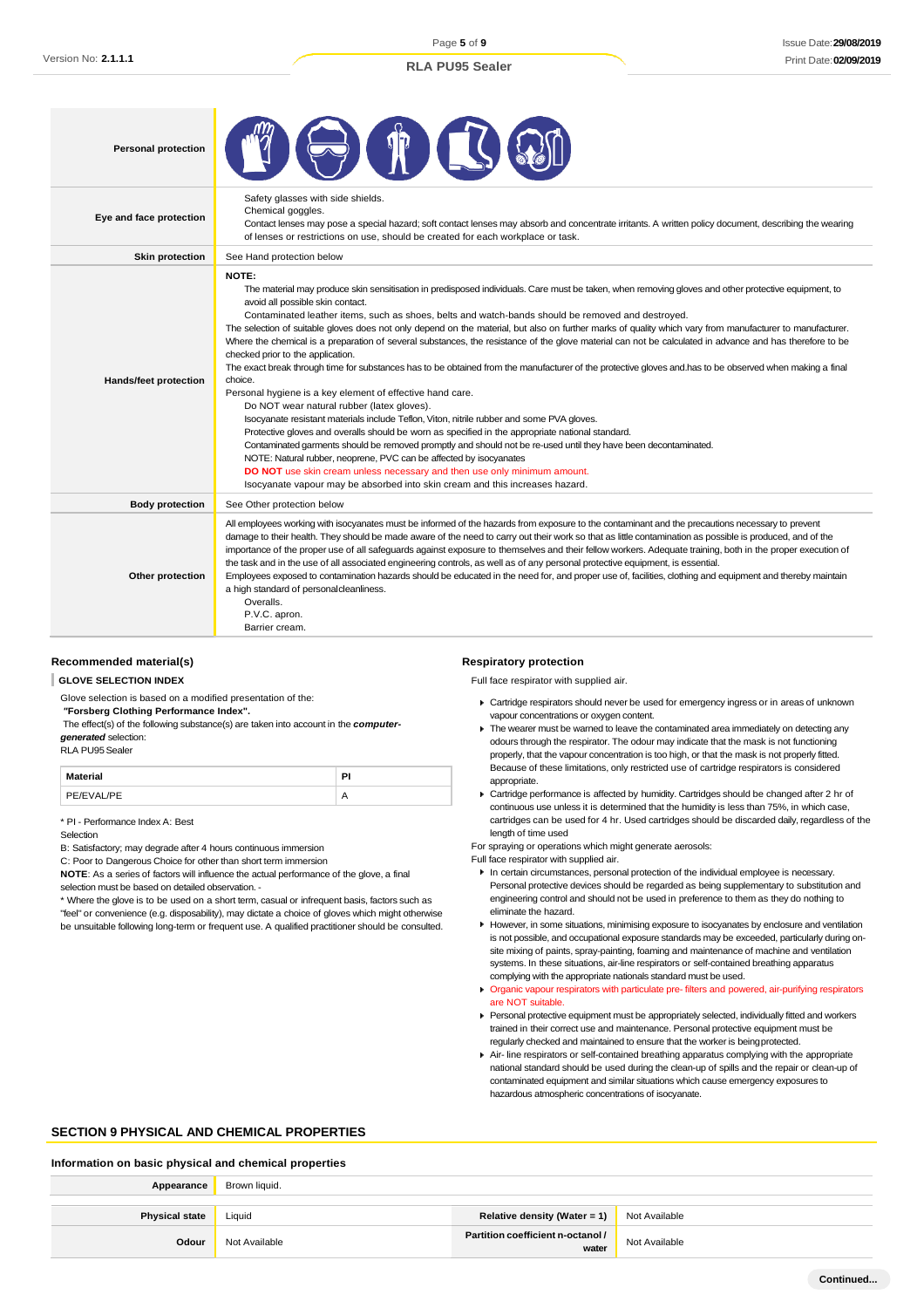Page **5** of **9**

## **RLA PU95 Sealer**

| <b>Personal protection</b>   |                                                                                                                                                                                                                                                                                                                                                                                                                                                                                                                                                                                                                                                                                                                                                                                                                                                                                                                                                                                                                                                                                                                                                                                                                                                                                                                                                                                                                                                                                                             |
|------------------------------|-------------------------------------------------------------------------------------------------------------------------------------------------------------------------------------------------------------------------------------------------------------------------------------------------------------------------------------------------------------------------------------------------------------------------------------------------------------------------------------------------------------------------------------------------------------------------------------------------------------------------------------------------------------------------------------------------------------------------------------------------------------------------------------------------------------------------------------------------------------------------------------------------------------------------------------------------------------------------------------------------------------------------------------------------------------------------------------------------------------------------------------------------------------------------------------------------------------------------------------------------------------------------------------------------------------------------------------------------------------------------------------------------------------------------------------------------------------------------------------------------------------|
| Eye and face protection      | Safety glasses with side shields.<br>Chemical goggles.<br>Contact lenses may pose a special hazard; soft contact lenses may absorb and concentrate irritants. A written policy document, describing the wearing<br>of lenses or restrictions on use, should be created for each workplace or task.                                                                                                                                                                                                                                                                                                                                                                                                                                                                                                                                                                                                                                                                                                                                                                                                                                                                                                                                                                                                                                                                                                                                                                                                          |
| <b>Skin protection</b>       | See Hand protection below                                                                                                                                                                                                                                                                                                                                                                                                                                                                                                                                                                                                                                                                                                                                                                                                                                                                                                                                                                                                                                                                                                                                                                                                                                                                                                                                                                                                                                                                                   |
| <b>Hands/feet protection</b> | NOTE:<br>The material may produce skin sensitisation in predisposed individuals. Care must be taken, when removing gloves and other protective equipment, to<br>avoid all possible skin contact.<br>Contaminated leather items, such as shoes, belts and watch-bands should be removed and destroyed.<br>The selection of suitable gloves does not only depend on the material, but also on further marks of quality which vary from manufacturer to manufacturer.<br>Where the chemical is a preparation of several substances, the resistance of the glove material can not be calculated in advance and has therefore to be<br>checked prior to the application.<br>The exact break through time for substances has to be obtained from the manufacturer of the protective gloves and has to be observed when making a final<br>choice.<br>Personal hygiene is a key element of effective hand care.<br>Do NOT wear natural rubber (latex gloves).<br>Isocyanate resistant materials include Teflon, Viton, nitrile rubber and some PVA gloves.<br>Protective gloves and overalls should be worn as specified in the appropriate national standard.<br>Contaminated garments should be removed promptly and should not be re-used until they have been decontaminated.<br>NOTE: Natural rubber, neoprene, PVC can be affected by isocyanates<br>DO NOT use skin cream unless necessary and then use only minimum amount.<br>Isocyanate vapour may be absorbed into skin cream and this increases hazard. |
| <b>Body protection</b>       | See Other protection below                                                                                                                                                                                                                                                                                                                                                                                                                                                                                                                                                                                                                                                                                                                                                                                                                                                                                                                                                                                                                                                                                                                                                                                                                                                                                                                                                                                                                                                                                  |
| Other protection             | All employees working with isocyanates must be informed of the hazards from exposure to the contaminant and the precautions necessary to prevent<br>damage to their health. They should be made aware of the need to carry out their work so that as little contamination as possible is produced, and of the<br>importance of the proper use of all safeguards against exposure to themselves and their fellow workers. Adequate training, both in the proper execution of<br>the task and in the use of all associated engineering controls, as well as of any personal protective equipment, is essential.<br>Employees exposed to contamination hazards should be educated in the need for, and proper use of, facilities, clothing and equipment and thereby maintain<br>a high standard of personal cleanliness.<br>Overalls.<br>P.V.C. apron.<br>Barrier cream.                                                                                                                                                                                                                                                                                                                                                                                                                                                                                                                                                                                                                                      |

#### **Recommended material(s)**

#### **GLOVE SELECTION INDEX**

Glove selection is based on a modified presentation of the:

*"***Forsberg Clothing Performance Index".**

The effect(s) of the following substance(s) are taken into account in the *computergenerated* selection:

RLA PU95Sealer

| <b>Material</b> | Ы |
|-----------------|---|
| PE/EVAL/PE      |   |

\* PI - Performance Index A: Best

#### Selection

B: Satisfactory; may degrade after 4 hours continuous immersion

C: Poor to Dangerous Choice for other than short term immersion

**NOTE**: As a series of factors will influence the actual performance of the glove, a final selection must be based on detailed observation. -

\* Where the glove is to be used on a short term, casual or infrequent basis, factors such as "feel" or convenience (e.g. disposability), may dictate a choice of gloves which might otherwise be unsuitable following long-term or frequent use. A qualified practitioner should be consulted. **Respiratory protection**

Full face respirator with supplied air.

- Cartridge respirators should never be used for emergency ingress or in areas of unknown vapour concentrations or oxygen content.
- $\blacktriangleright$  The wearer must be warned to leave the contaminated area immediately on detecting any odours through the respirator. The odour may indicate that the mask is not functioning properly, that the vapour concentration is too high, or that the mask is not properly fitted. Because of these limitations, only restricted use of cartridge respirators is considered appropriate.
- Cartridge performance is affected by humidity. Cartridges should be changed after 2 hr of continuous use unless it is determined that the humidity is less than 75%, in which case, cartridges can be used for 4 hr. Used cartridges should be discarded daily, regardless of the length of time used
- For spraying or operations which might generate aerosols:
- Full face respirator with supplied air.
- In certain circumstances, personal protection of the individual employee is necessary. Personal protective devices should be regarded as being supplementary to substitution and engineering control and should not be used in preference to them as they do nothing to eliminate the hazard.
- However, in some situations, minimising exposure to isocyanates by enclosure and ventilation is not possible, and occupational exposure standards may be exceeded, particularly during onsite mixing of paints, spray-painting, foaming and maintenance of machine and ventilation systems. In these situations, air-line respirators or self-contained breathing apparatus complying with the appropriate nationals standard must be used.
- **Organic vapour respirators with particulate pre- filters and powered, air-purifying respirators** are NOT suitable.
- Personal protective equipment must be appropriately selected, individually fitted and workers trained in their correct use and maintenance. Personal protective equipment must be regularly checked and maintained to ensure that the worker is beingprotected.
- Air- line respirators or self-contained breathing apparatus complying with the appropriate national standard should be used during the clean-up of spills and the repair or clean-up of contaminated equipment and similar situations which cause emergency exposures to hazardous atmospheric concentrations of isocyanate.

## **SECTION 9 PHYSICAL AND CHEMICAL PROPERTIES**

#### **Information on basic physical and chemical properties**

| Appearance            | Brown liquid. |                                            |               |
|-----------------------|---------------|--------------------------------------------|---------------|
|                       |               |                                            |               |
| <b>Physical state</b> | Liquid        | Relative density (Water = 1)               | Not Available |
| Odour                 | Not Available | Partition coefficient n-octanol /<br>water | Not Available |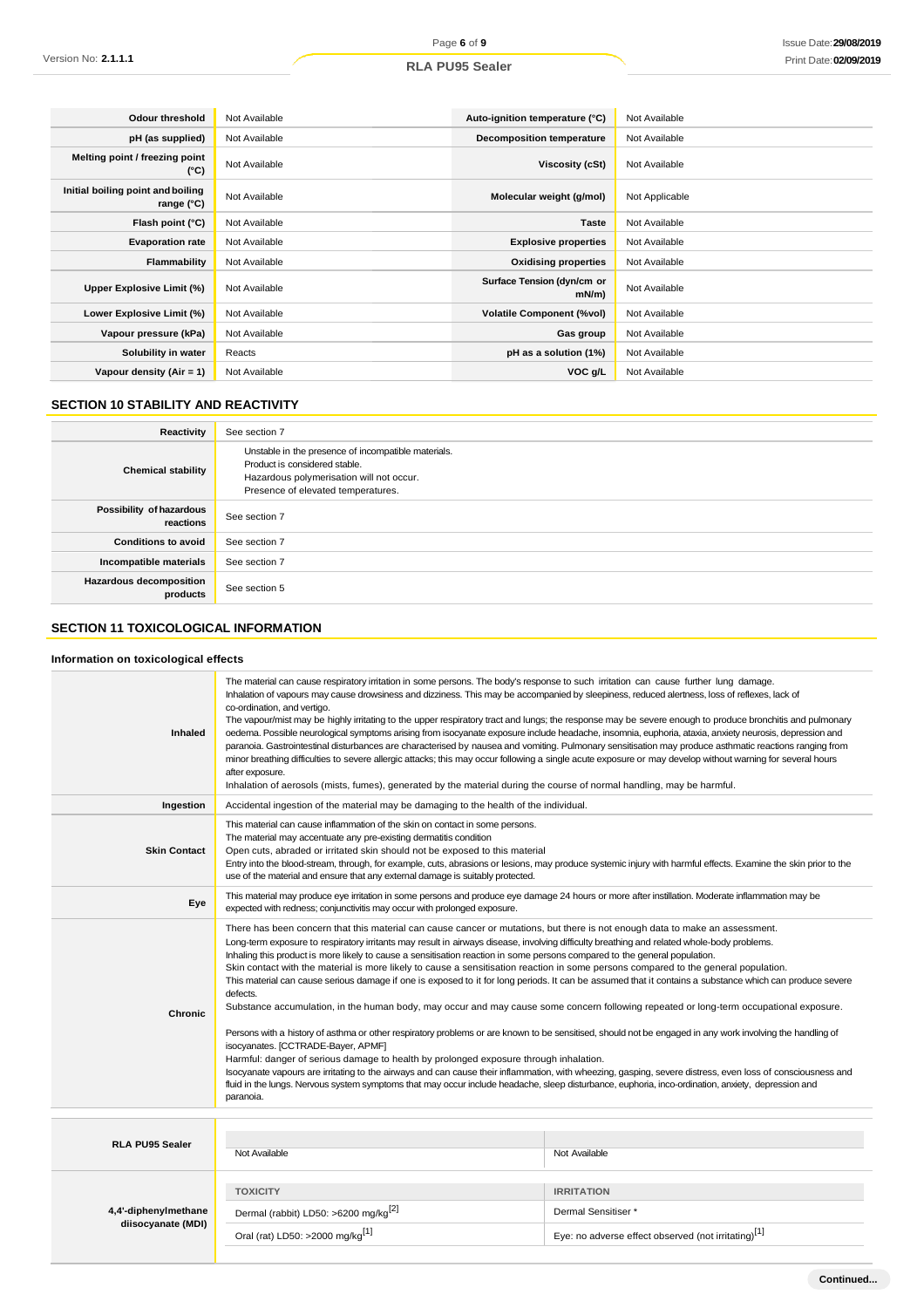## **RLA PU95 Sealer**

| <b>Odour threshold</b>                                   | Not Available | Auto-ignition temperature (°C)         | Not Available  |
|----------------------------------------------------------|---------------|----------------------------------------|----------------|
| pH (as supplied)                                         | Not Available | <b>Decomposition temperature</b>       | Not Available  |
| Melting point / freezing point<br>$(^{\circ}C)$          | Not Available | Viscosity (cSt)                        | Not Available  |
| Initial boiling point and boiling<br>range $(^{\circ}C)$ | Not Available | Molecular weight (g/mol)               | Not Applicable |
| Flash point (°C)                                         | Not Available | <b>Taste</b>                           | Not Available  |
| <b>Evaporation rate</b>                                  | Not Available | <b>Explosive properties</b>            | Not Available  |
| Flammability                                             | Not Available | <b>Oxidising properties</b>            | Not Available  |
| Upper Explosive Limit (%)                                | Not Available | Surface Tension (dyn/cm or<br>$mN/m$ ) | Not Available  |
| Lower Explosive Limit (%)                                | Not Available | <b>Volatile Component (%vol)</b>       | Not Available  |
| Vapour pressure (kPa)                                    | Not Available | Gas group                              | Not Available  |
| Solubility in water                                      | Reacts        | pH as a solution (1%)                  | Not Available  |
| Vapour density (Air = 1)                                 | Not Available | VOC g/L                                | Not Available  |

## **SECTION 10 STABILITY AND REACTIVITY**

| Reactivity                                 | See section 7                                                                                                                                                          |
|--------------------------------------------|------------------------------------------------------------------------------------------------------------------------------------------------------------------------|
| <b>Chemical stability</b>                  | Unstable in the presence of incompatible materials.<br>Product is considered stable.<br>Hazardous polymerisation will not occur.<br>Presence of elevated temperatures. |
| Possibility of hazardous<br>reactions      | See section 7                                                                                                                                                          |
| <b>Conditions to avoid</b>                 | See section 7                                                                                                                                                          |
| Incompatible materials                     | See section 7                                                                                                                                                          |
| <b>Hazardous decomposition</b><br>products | See section 5                                                                                                                                                          |

## **SECTION 11 TOXICOLOGICAL INFORMATION**

## **Information on toxicological effects**

| <b>Inhaled</b>                             | The material can cause respiratory irritation in some persons. The body's response to such irritation can cause further lung damage.<br>Inhalation of vapours may cause drowsiness and dizziness. This may be accompanied by sleepiness, reduced alertness, loss of reflexes, lack of<br>co-ordination, and vertigo.<br>The vapour/mist may be highly irritating to the upper respiratory tract and lungs; the response may be severe enough to produce bronchitis and pulmonary<br>oedema. Possible neurological symptoms arising from isocyanate exposure include headache, insomnia, euphoria, ataxia, anxiety neurosis, depression and<br>paranoia. Gastrointestinal disturbances are characterised by nausea and vomiting. Pulmonary sensitisation may produce asthmatic reactions ranging from<br>minor breathing difficulties to severe allergic attacks; this may occur following a single acute exposure or may develop without warning for several hours<br>after exposure.<br>Inhalation of aerosols (mists, fumes), generated by the material during the course of normal handling, may be harmful.                                                                                                                                                                                                                                                                                                                                                                                |                                                                                                             |  |  |
|--------------------------------------------|------------------------------------------------------------------------------------------------------------------------------------------------------------------------------------------------------------------------------------------------------------------------------------------------------------------------------------------------------------------------------------------------------------------------------------------------------------------------------------------------------------------------------------------------------------------------------------------------------------------------------------------------------------------------------------------------------------------------------------------------------------------------------------------------------------------------------------------------------------------------------------------------------------------------------------------------------------------------------------------------------------------------------------------------------------------------------------------------------------------------------------------------------------------------------------------------------------------------------------------------------------------------------------------------------------------------------------------------------------------------------------------------------------------------------------------------------------------------------------------------|-------------------------------------------------------------------------------------------------------------|--|--|
| Ingestion                                  | Accidental ingestion of the material may be damaging to the health of the individual.                                                                                                                                                                                                                                                                                                                                                                                                                                                                                                                                                                                                                                                                                                                                                                                                                                                                                                                                                                                                                                                                                                                                                                                                                                                                                                                                                                                                          |                                                                                                             |  |  |
| <b>Skin Contact</b>                        | This material can cause inflammation of the skin on contact in some persons.<br>The material may accentuate any pre-existing dermatitis condition<br>Open cuts, abraded or irritated skin should not be exposed to this material<br>Entry into the blood-stream, through, for example, cuts, abrasions or lesions, may produce systemic injury with harmful effects. Examine the skin prior to the<br>use of the material and ensure that any external damage is suitably protected.                                                                                                                                                                                                                                                                                                                                                                                                                                                                                                                                                                                                                                                                                                                                                                                                                                                                                                                                                                                                           |                                                                                                             |  |  |
| Eye                                        | This material may produce eye irritation in some persons and produce eye damage 24 hours or more after instillation. Moderate inflammation may be<br>expected with redness; conjunctivitis may occur with prolonged exposure.                                                                                                                                                                                                                                                                                                                                                                                                                                                                                                                                                                                                                                                                                                                                                                                                                                                                                                                                                                                                                                                                                                                                                                                                                                                                  |                                                                                                             |  |  |
| <b>Chronic</b>                             | There has been concern that this material can cause cancer or mutations, but there is not enough data to make an assessment.<br>Long-term exposure to respiratory irritants may result in airways disease, involving difficulty breathing and related whole-body problems.<br>Inhaling this product is more likely to cause a sensitisation reaction in some persons compared to the general population.<br>Skin contact with the material is more likely to cause a sensitisation reaction in some persons compared to the general population.<br>This material can cause serious damage if one is exposed to it for long periods. It can be assumed that it contains a substance which can produce severe<br>defects.<br>Substance accumulation, in the human body, may occur and may cause some concern following repeated or long-term occupational exposure.<br>Persons with a history of asthma or other respiratory problems or are known to be sensitised, should not be engaged in any work involving the handling of<br>isocyanates. [CCTRADE-Bayer, APMF]<br>Harmful: danger of serious damage to health by prolonged exposure through inhalation.<br>Isocyanate vapours are irritating to the airways and can cause their inflammation, with wheezing, gasping, severe distress, even loss of consciousness and<br>fluid in the lungs. Nervous system symptoms that may occur include headache, sleep disturbance, euphoria, inco-ordination, anxiety, depression and<br>paranoia. |                                                                                                             |  |  |
| <b>RLA PU95 Sealer</b>                     | Not Available                                                                                                                                                                                                                                                                                                                                                                                                                                                                                                                                                                                                                                                                                                                                                                                                                                                                                                                                                                                                                                                                                                                                                                                                                                                                                                                                                                                                                                                                                  | Not Available                                                                                               |  |  |
| 4,4'-diphenylmethane<br>diisocyanate (MDI) | <b>TOXICITY</b><br>Dermal (rabbit) LD50: >6200 mg/kg <sup>[2]</sup><br>Oral (rat) LD50: >2000 mg/kg <sup>[1]</sup>                                                                                                                                                                                                                                                                                                                                                                                                                                                                                                                                                                                                                                                                                                                                                                                                                                                                                                                                                                                                                                                                                                                                                                                                                                                                                                                                                                             | <b>IRRITATION</b><br>Dermal Sensitiser *<br>Eye: no adverse effect observed (not irritating) <sup>[1]</sup> |  |  |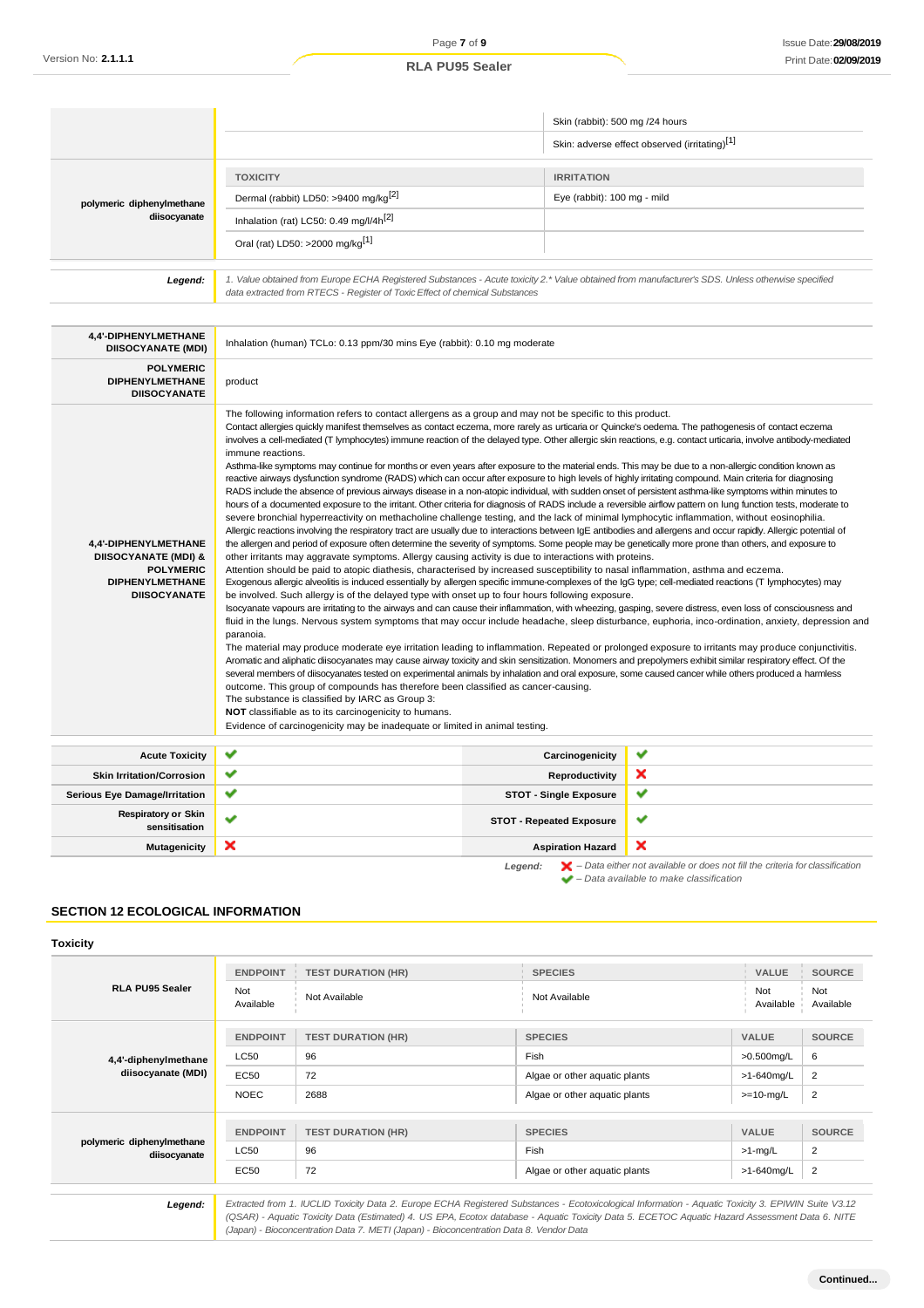|                                                                                                                              |                                                                                                                                                                                                                                                                                                                                                                                                                                                                                                                                                                                                                                                                                                                                                                                                                                                                                                                                                                                                                                                                                                                                                                                                                                                                                                                                                                                                                                                                                                                                                                                                                                                                                                                                                                                                                                                                                                                                                                                                                                                                                                                                                                                                                                                                                                                                                                                                                                                                                                                                                                                                                                                                                                                                                                                                                                                                                                                                                                                                                                                                                                                                                                                          | Skin (rabbit): 500 mg /24 hours |                                               |
|------------------------------------------------------------------------------------------------------------------------------|------------------------------------------------------------------------------------------------------------------------------------------------------------------------------------------------------------------------------------------------------------------------------------------------------------------------------------------------------------------------------------------------------------------------------------------------------------------------------------------------------------------------------------------------------------------------------------------------------------------------------------------------------------------------------------------------------------------------------------------------------------------------------------------------------------------------------------------------------------------------------------------------------------------------------------------------------------------------------------------------------------------------------------------------------------------------------------------------------------------------------------------------------------------------------------------------------------------------------------------------------------------------------------------------------------------------------------------------------------------------------------------------------------------------------------------------------------------------------------------------------------------------------------------------------------------------------------------------------------------------------------------------------------------------------------------------------------------------------------------------------------------------------------------------------------------------------------------------------------------------------------------------------------------------------------------------------------------------------------------------------------------------------------------------------------------------------------------------------------------------------------------------------------------------------------------------------------------------------------------------------------------------------------------------------------------------------------------------------------------------------------------------------------------------------------------------------------------------------------------------------------------------------------------------------------------------------------------------------------------------------------------------------------------------------------------------------------------------------------------------------------------------------------------------------------------------------------------------------------------------------------------------------------------------------------------------------------------------------------------------------------------------------------------------------------------------------------------------------------------------------------------------------------------------------------------|---------------------------------|-----------------------------------------------|
|                                                                                                                              |                                                                                                                                                                                                                                                                                                                                                                                                                                                                                                                                                                                                                                                                                                                                                                                                                                                                                                                                                                                                                                                                                                                                                                                                                                                                                                                                                                                                                                                                                                                                                                                                                                                                                                                                                                                                                                                                                                                                                                                                                                                                                                                                                                                                                                                                                                                                                                                                                                                                                                                                                                                                                                                                                                                                                                                                                                                                                                                                                                                                                                                                                                                                                                                          |                                 | Skin: adverse effect observed (irritating)[1] |
|                                                                                                                              | <b>TOXICITY</b>                                                                                                                                                                                                                                                                                                                                                                                                                                                                                                                                                                                                                                                                                                                                                                                                                                                                                                                                                                                                                                                                                                                                                                                                                                                                                                                                                                                                                                                                                                                                                                                                                                                                                                                                                                                                                                                                                                                                                                                                                                                                                                                                                                                                                                                                                                                                                                                                                                                                                                                                                                                                                                                                                                                                                                                                                                                                                                                                                                                                                                                                                                                                                                          | <b>IRRITATION</b>               |                                               |
| polymeric diphenylmethane                                                                                                    | Dermal (rabbit) LD50: >9400 mg/kg <sup>[2]</sup>                                                                                                                                                                                                                                                                                                                                                                                                                                                                                                                                                                                                                                                                                                                                                                                                                                                                                                                                                                                                                                                                                                                                                                                                                                                                                                                                                                                                                                                                                                                                                                                                                                                                                                                                                                                                                                                                                                                                                                                                                                                                                                                                                                                                                                                                                                                                                                                                                                                                                                                                                                                                                                                                                                                                                                                                                                                                                                                                                                                                                                                                                                                                         | Eye (rabbit): 100 mg - mild     |                                               |
| diisocyanate                                                                                                                 | Inhalation (rat) LC50: 0.49 mg/l/4h <sup>[2]</sup>                                                                                                                                                                                                                                                                                                                                                                                                                                                                                                                                                                                                                                                                                                                                                                                                                                                                                                                                                                                                                                                                                                                                                                                                                                                                                                                                                                                                                                                                                                                                                                                                                                                                                                                                                                                                                                                                                                                                                                                                                                                                                                                                                                                                                                                                                                                                                                                                                                                                                                                                                                                                                                                                                                                                                                                                                                                                                                                                                                                                                                                                                                                                       |                                 |                                               |
|                                                                                                                              | Oral (rat) LD50: >2000 mg/kg <sup>[1]</sup>                                                                                                                                                                                                                                                                                                                                                                                                                                                                                                                                                                                                                                                                                                                                                                                                                                                                                                                                                                                                                                                                                                                                                                                                                                                                                                                                                                                                                                                                                                                                                                                                                                                                                                                                                                                                                                                                                                                                                                                                                                                                                                                                                                                                                                                                                                                                                                                                                                                                                                                                                                                                                                                                                                                                                                                                                                                                                                                                                                                                                                                                                                                                              |                                 |                                               |
| Legend:                                                                                                                      | 1. Value obtained from Europe ECHA Registered Substances - Acute toxicity 2.* Value obtained from manufacturer's SDS. Unless otherwise specified<br>data extracted from RTECS - Register of Toxic Effect of chemical Substances                                                                                                                                                                                                                                                                                                                                                                                                                                                                                                                                                                                                                                                                                                                                                                                                                                                                                                                                                                                                                                                                                                                                                                                                                                                                                                                                                                                                                                                                                                                                                                                                                                                                                                                                                                                                                                                                                                                                                                                                                                                                                                                                                                                                                                                                                                                                                                                                                                                                                                                                                                                                                                                                                                                                                                                                                                                                                                                                                          |                                 |                                               |
|                                                                                                                              |                                                                                                                                                                                                                                                                                                                                                                                                                                                                                                                                                                                                                                                                                                                                                                                                                                                                                                                                                                                                                                                                                                                                                                                                                                                                                                                                                                                                                                                                                                                                                                                                                                                                                                                                                                                                                                                                                                                                                                                                                                                                                                                                                                                                                                                                                                                                                                                                                                                                                                                                                                                                                                                                                                                                                                                                                                                                                                                                                                                                                                                                                                                                                                                          |                                 |                                               |
| 4,4'-DIPHENYLMETHANE<br><b>DIISOCYANATE (MDI)</b>                                                                            | Inhalation (human) TCLo: 0.13 ppm/30 mins Eye (rabbit): 0.10 mg moderate                                                                                                                                                                                                                                                                                                                                                                                                                                                                                                                                                                                                                                                                                                                                                                                                                                                                                                                                                                                                                                                                                                                                                                                                                                                                                                                                                                                                                                                                                                                                                                                                                                                                                                                                                                                                                                                                                                                                                                                                                                                                                                                                                                                                                                                                                                                                                                                                                                                                                                                                                                                                                                                                                                                                                                                                                                                                                                                                                                                                                                                                                                                 |                                 |                                               |
| <b>POLYMERIC</b><br><b>DIPHENYLMETHANE</b><br><b>DIISOCYANATE</b>                                                            | product                                                                                                                                                                                                                                                                                                                                                                                                                                                                                                                                                                                                                                                                                                                                                                                                                                                                                                                                                                                                                                                                                                                                                                                                                                                                                                                                                                                                                                                                                                                                                                                                                                                                                                                                                                                                                                                                                                                                                                                                                                                                                                                                                                                                                                                                                                                                                                                                                                                                                                                                                                                                                                                                                                                                                                                                                                                                                                                                                                                                                                                                                                                                                                                  |                                 |                                               |
| 4,4'-DIPHENYLMETHANE<br><b>DIISOCYANATE (MDI) &amp;</b><br><b>POLYMERIC</b><br><b>DIPHENYLMETHANE</b><br><b>DIISOCYANATE</b> | The following information refers to contact allergens as a group and may not be specific to this product.<br>Contact allergies quickly manifest themselves as contact eczema, more rarely as urticaria or Quincke's oedema. The pathogenesis of contact eczema<br>involves a cell-mediated (T lymphocytes) immune reaction of the delayed type. Other allergic skin reactions, e.g. contact urticaria, involve antibody-mediated<br>immune reactions.<br>Asthma-like symptoms may continue for months or even years after exposure to the material ends. This may be due to a non-allergic condition known as<br>reactive airways dysfunction syndrome (RADS) which can occur after exposure to high levels of highly irritating compound. Main criteria for diagnosing<br>RADS include the absence of previous airways disease in a non-atopic individual, with sudden onset of persistent asthma-like symptoms within minutes to<br>hours of a documented exposure to the irritant. Other criteria for diagnosis of RADS include a reversible airflow pattern on lung function tests, moderate to<br>severe bronchial hyperreactivity on methacholine challenge testing, and the lack of minimal lymphocytic inflammation, without eosinophilia.<br>Allergic reactions involving the respiratory tract are usually due to interactions between IgE antibodies and allergens and occur rapidly. Allergic potential of<br>the allergen and period of exposure often determine the severity of symptoms. Some people may be genetically more prone than others, and exposure to<br>other irritants may aggravate symptoms. Allergy causing activity is due to interactions with proteins.<br>Attention should be paid to atopic diathesis, characterised by increased susceptibility to nasal inflammation, asthma and eczema.<br>Exogenous allergic alveolitis is induced essentially by allergen specific immune-complexes of the IgG type; cell-mediated reactions (T lymphocytes) may<br>be involved. Such allergy is of the delayed type with onset up to four hours following exposure.<br>Isocyanate vapours are irritating to the airways and can cause their inflammation, with wheezing, gasping, severe distress, even loss of consciousness and<br>fluid in the lungs. Nervous system symptoms that may occur include headache, sleep disturbance, euphoria, inco-ordination, anxiety, depression and<br>paranoia.<br>The material may produce moderate eye irritation leading to inflammation. Repeated or prolonged exposure to irritants may produce conjunctivitis.<br>Aromatic and aliphatic diisocyanates may cause airway toxicity and skin sensitization. Monomers and prepolymers exhibit similar respiratory effect. Of the<br>several members of diisocyanates tested on experimental animals by inhalation and oral exposure, some caused cancer while others produced a harmless<br>outcome. This group of compounds has therefore been classified as cancer-causing.<br>The substance is classified by IARC as Group 3:<br>NOT classifiable as to its carcinogenicity to humans.<br>Evidence of carcinogenicity may be inadequate or limited in animal testing. |                                 |                                               |
| <b>Acute Toxicity</b>                                                                                                        | ✔                                                                                                                                                                                                                                                                                                                                                                                                                                                                                                                                                                                                                                                                                                                                                                                                                                                                                                                                                                                                                                                                                                                                                                                                                                                                                                                                                                                                                                                                                                                                                                                                                                                                                                                                                                                                                                                                                                                                                                                                                                                                                                                                                                                                                                                                                                                                                                                                                                                                                                                                                                                                                                                                                                                                                                                                                                                                                                                                                                                                                                                                                                                                                                                        | Carcinogenicity                 | v                                             |
| <b>Skin Irritation/Corrosion</b>                                                                                             | v                                                                                                                                                                                                                                                                                                                                                                                                                                                                                                                                                                                                                                                                                                                                                                                                                                                                                                                                                                                                                                                                                                                                                                                                                                                                                                                                                                                                                                                                                                                                                                                                                                                                                                                                                                                                                                                                                                                                                                                                                                                                                                                                                                                                                                                                                                                                                                                                                                                                                                                                                                                                                                                                                                                                                                                                                                                                                                                                                                                                                                                                                                                                                                                        | Reproductivity                  | ×                                             |

**Serious Eye Damage/Irritation STOT - Single Exposure** × **Respiratory or Skin stationary STOT - Repeated Exposure** Ÿ **Mutagenicity Aspiration Hazard**  $\boldsymbol{\mathsf{x}}$ *Legend: – Data either not available or does not fill the criteria for classification*

## **SECTION 12 ECOLOGICAL INFORMATION**

#### **Toxicity RLA PU95 Sealer ENDPOINT** Not Available **TEST DURATION (HR)** Not Available **SPECIES** Not Available **VALUE** Not Available **SOURCE** Not Available **4,4'-diphenylmethane diisocyanate (MDI) polymeric diphenylmethane diisocyanate ENDPOINT TEST DURATION (HR) SPECIES VALUE SOURCE** LC50 96 Fish >0.500mg/L 6 EC50 72 Algae or other aquatic plants >1-640mg/L 2 NOEC 2688 2688 Algae or other aquatic plants  $\begin{array}{|c|c|c|c|c|c|}\n\hline\n\end{array}$  >=10-mg/L 2 **ENDPOINT TEST DURATION (HR) SPECIES VALUE SOURCE** LC50 96 Fish >1-mg/L 2 EC50 72 Algae or other aquatic plants >1-640mg/L 2

*Legend: Extracted from 1. IUCLID Toxicity Data 2. Europe ECHA Registered Substances - Ecotoxicological Information - Aquatic Toxicity 3. EPIWIN Suite V3.12 (QSAR) - Aquatic Toxicity Data (Estimated) 4. US EPA, Ecotox database - Aquatic Toxicity Data 5. ECETOC Aquatic Hazard Assessment Data 6. NITE (Japan) - Bioconcentration Data 7. METI (Japan) - Bioconcentration Data 8. Vendor Data*

*– Data available to make classification*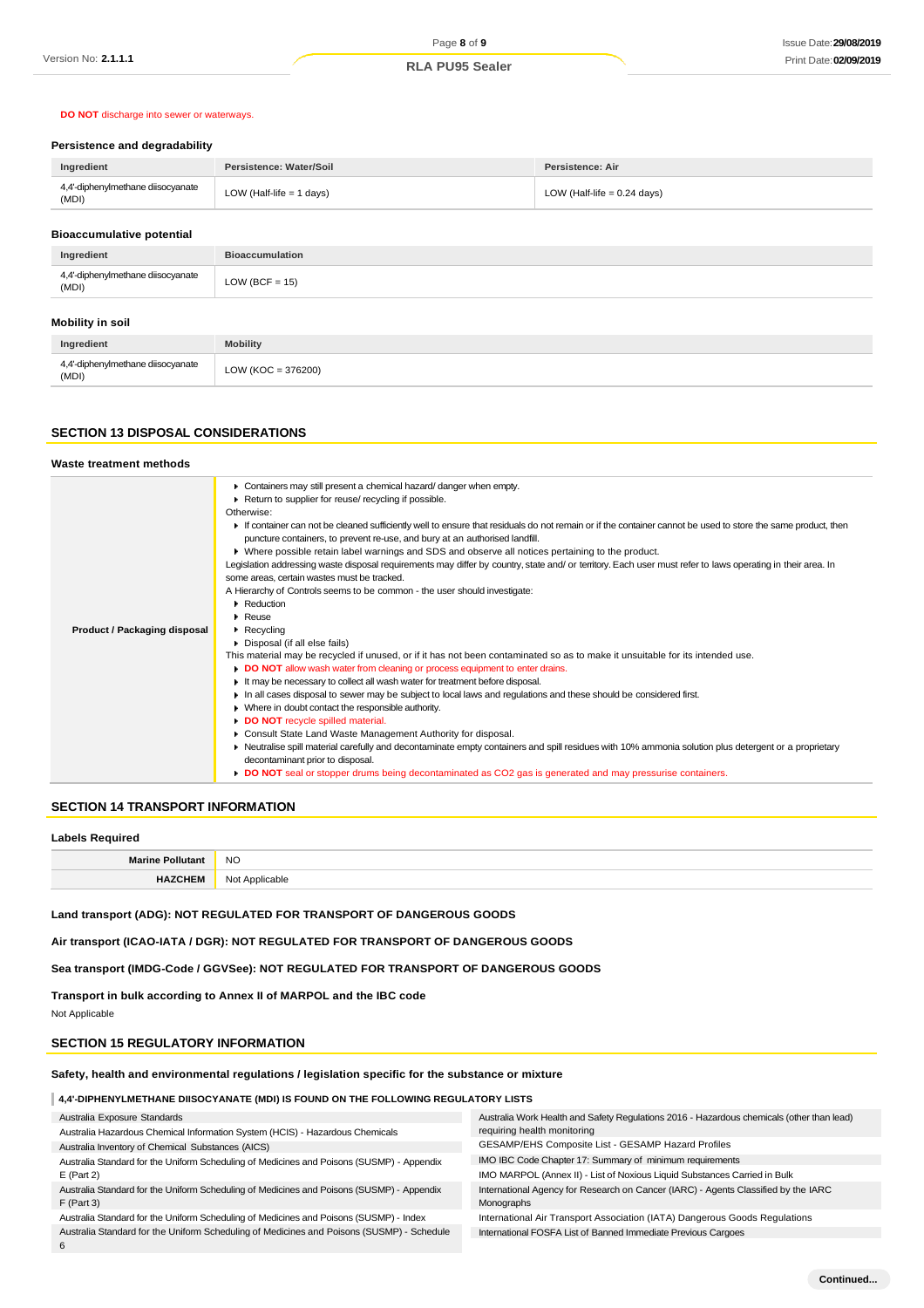# **DO NOT** discharge into sewer or waterways.

#### **Persistence and degradability**

| Ingredient                                 | Persistence: Water/Soil    | Persistence: Air              |
|--------------------------------------------|----------------------------|-------------------------------|
| 4,4'-diphenylmethane diisocyanate<br>(MDI) | LOW (Half-life $= 1$ days) | LOW (Half-life $= 0.24$ days) |
|                                            |                            |                               |

#### **Bioaccumulative potential**

| Ingredient                                 | <b>Bioaccumulation</b> |
|--------------------------------------------|------------------------|
| 4,4'-diphenylmethane diisocyanate<br>(MDI) | LOW (BCF = $15$ )      |
| Mobility in soil                           |                        |
| Ingredient                                 | <b>Mobility</b>        |
| 4,4'-diphenylmethane diisocyanate<br>(MDI) | $LOW (KOC = 376200)$   |

## **SECTION 13 DISPOSAL CONSIDERATIONS**

#### **Waste treatment methods Product / Packaging disposal** Containers may still present a chemical hazard/ danger when empty. ▶ Return to supplier for reuse/ recycling if possible. Otherwise: If container can not be cleaned sufficiently well to ensure that residuals do not remain or if the container cannot be used to store the same product, then puncture containers, to prevent re-use, and bury at an authorised landfill. Where possible retain label warnings and SDS and observe all notices pertaining to the product. Legislation addressing waste disposal requirements may differ by country, state and/ or territory. Each user must refer to laws operating in their area. In some areas, certain wastes must be tracked. A Hierarchy of Controls seems to be common - the user should investigate: **Reduction Reuse Recycling** Disposal (if all else fails) This material may be recycled if unused, or if it has not been contaminated so as to make it unsuitable for its intended use. **DO NOT** allow wash water from cleaning or process equipment to enter drains. It may be necessary to collect all wash water for treatment before disposal. In all cases disposal to sewer may be subject to local laws and regulations and these should be considered first. Where in doubt contact the responsible authority. **DO NOT** recycle spilled material. Consult State Land Waste Management Authority for disposal. Neutralise spill material carefully and decontaminate empty containers and spill residues with 10% ammonia solution plus detergent or a proprietary decontaminant prior to disposal. **DO NOT** seal or stopper drums being decontaminated as CO2 gas is generated and may pressurise containers.

## **SECTION 14 TRANSPORT INFORMATION**

## **Labels Required Marine Pollutant** NO **HAZCHEM** Not Applicable

**Land transport (ADG): NOT REGULATED FOR TRANSPORT OF DANGEROUS GOODS**

**Air transport (ICAO-IATA / DGR): NOT REGULATED FOR TRANSPORT OF DANGEROUS GOODS**

**Sea transport (IMDG-Code / GGVSee): NOT REGULATED FOR TRANSPORT OF DANGEROUS GOODS**

**Transport in bulk according to Annex II of MARPOL and the IBC code**

Not Applicable

## **SECTION 15 REGULATORY INFORMATION**

**Safety, health and environmental regulations / legislation specific for the substance or mixture**

**4,4'-DIPHENYLMETHANE DIISOCYANATE (MDI) IS FOUND ON THE FOLLOWING REGULATORY LISTS**

| Australia Exposure Standards                                                                              | Australia Work Health and Safety Regulations 2016 - Hazardous chemicals (other than lead)        |
|-----------------------------------------------------------------------------------------------------------|--------------------------------------------------------------------------------------------------|
| Australia Hazardous Chemical Information System (HCIS) - Hazardous Chemicals                              | requiring health monitoring                                                                      |
| Australia Inventory of Chemical Substances (AICS)                                                         | GESAMP/EHS Composite List - GESAMP Hazard Profiles                                               |
| Australia Standard for the Uniform Scheduling of Medicines and Poisons (SUSMP) - Appendix                 | IMO IBC Code Chapter 17: Summary of minimum requirements                                         |
| $E$ (Part 2)                                                                                              | IMO MARPOL (Annex II) - List of Noxious Liquid Substances Carried in Bulk                        |
| Australia Standard for the Uniform Scheduling of Medicines and Poisons (SUSMP) - Appendix<br>$F$ (Part 3) | International Agency for Research on Cancer (IARC) - Agents Classified by the IARC<br>Monographs |
| Australia Standard for the Uniform Scheduling of Medicines and Poisons (SUSMP) - Index                    | International Air Transport Association (IATA) Dangerous Goods Regulations                       |
| Australia Standard for the Uniform Scheduling of Medicines and Poisons (SUSMP) - Schedule                 | International FOSFA List of Banned Immediate Previous Cargoes                                    |
|                                                                                                           |                                                                                                  |